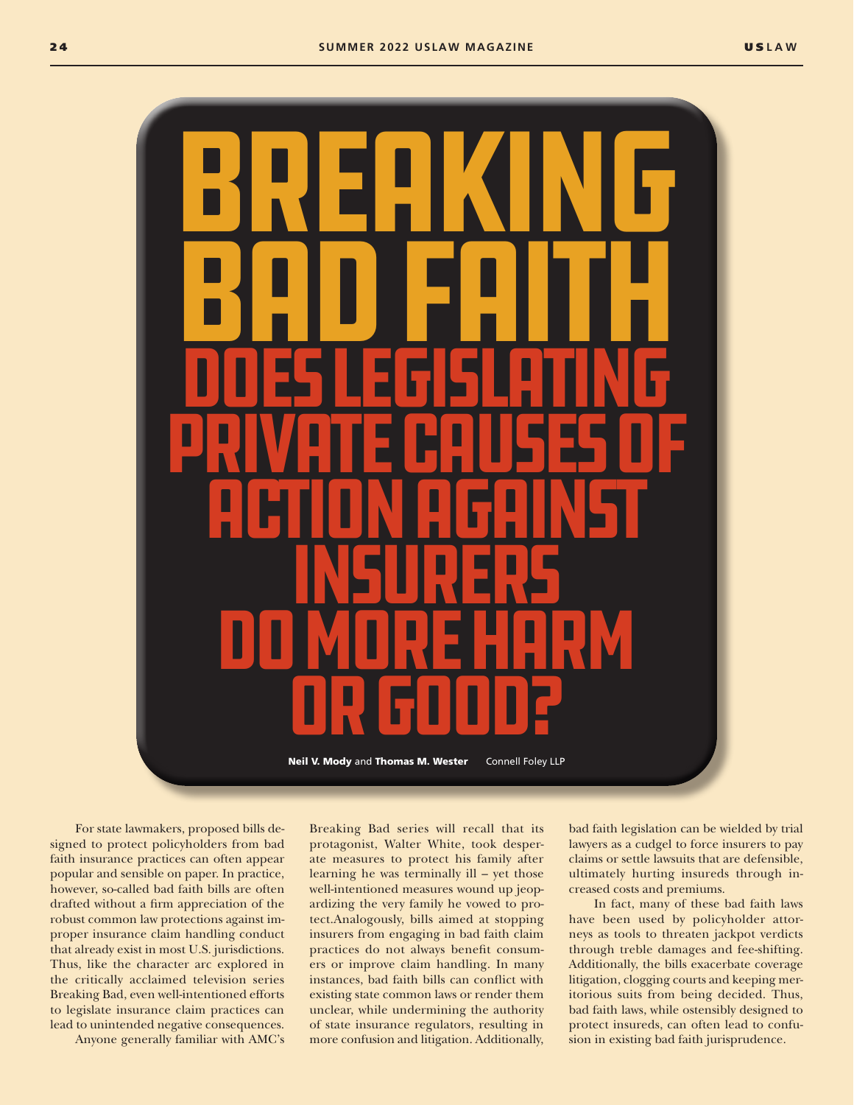

For state lawmakers, proposed bills designed to protect policyholders from bad faith insurance practices can often appear popular and sensible on paper. In practice, however, so-called bad faith bills are often drafted without a firm appreciation of the robust common law protections against improper insurance claim handling conduct that already exist in most U.S. jurisdictions. Thus, like the character arc explored in the critically acclaimed television series Breaking Bad, even well-intentioned efforts to legislate insurance claim practices can lead to unintended negative consequences.

Anyone generally familiar with AMC's

Breaking Bad series will recall that its protagonist, Walter White, took desperate measures to protect his family after learning he was terminally ill – yet those well-intentioned measures wound up jeopardizing the very family he vowed to protect.Analogously, bills aimed at stopping insurers from engaging in bad faith claim practices do not always benefit consumers or improve claim handling. In many instances, bad faith bills can conflict with existing state common laws or render them unclear, while undermining the authority of state insurance regulators, resulting in more confusion and litigation. Additionally, bad faith legislation can be wielded by trial lawyers as a cudgel to force insurers to pay claims or settle lawsuits that are defensible, ultimately hurting insureds through increased costs and premiums.

In fact, many of these bad faith laws have been used by policyholder attorneys as tools to threaten jackpot verdicts through treble damages and fee-shifting. Additionally, the bills exacerbate coverage litigation, clogging courts and keeping meritorious suits from being decided. Thus, bad faith laws, while ostensibly designed to protect insureds, can often lead to confusion in existing bad faith jurisprudence.